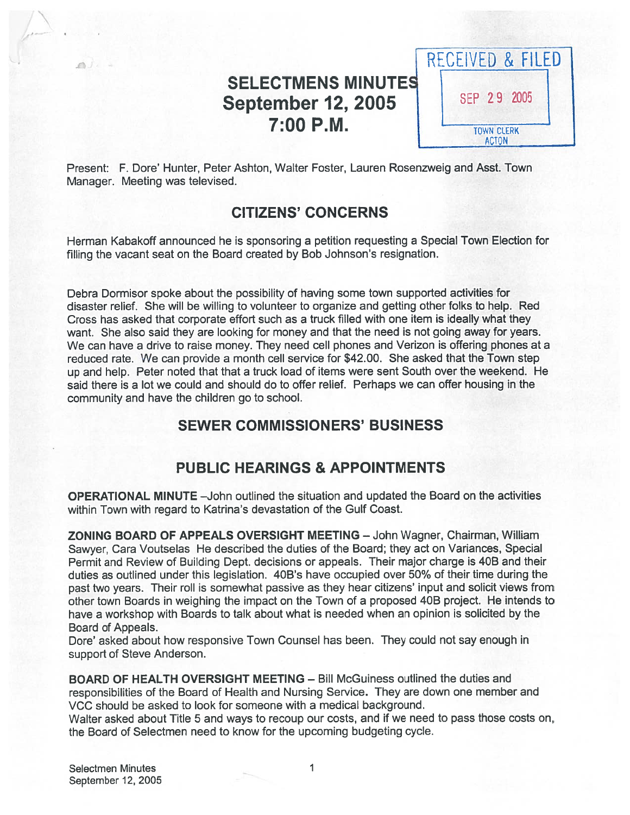# SELECTMENS MINUTE September 12, 2005 7:00 P.M.



Present: F. Dore' Hunter, Peter Ashton, Walter Foster, Lauren Rosenzweig and Asst. Town Manager. Meeting was televised.

# CITIZENS' CONCERNS

Herman Kabakoff announced he is sponsoring <sup>a</sup> petition requesting <sup>a</sup> Special Town Election for filling the vacant seat on the Board created by Bob Johnson's resignation.

Debra Dormisor spoke about the possibility of having some town supported activities for disaster relief. She will be willing to volunteer to organize and getting other folks to help. Red Cross has asked that corporate effort such as <sup>a</sup> truck filled with one item is ideally what they want. She also said they are looking for money and that the need is not going away for years. We can have <sup>a</sup> drive to raise money. They need cell phones and Verizon is offering phones at <sup>a</sup> reduced rate. We can provide <sup>a</sup> month cell service for \$42.00. She asked that the Town step up and help. Peter noted that that <sup>a</sup> truck load of items were sent South over the weekend. He said there is <sup>a</sup> lot we could and should do to offer relief. Perhaps we can offer housing in the community and have the children go to school.

# SEWER COMMISSIONERS' BUSINESS

# PUBLIC HEARINGS & APPOINTMENTS

OPERATIONAL MINUTE —John outlined the situation and updated the Board on the activities within Town with regard to Katrina's devastation of the Gulf Coast.

ZONING BOARD OF APPEALS OVERSIGHT MEETING — John Wagner, Chairman, William Sawyer, Cara Voutselas He described the duties of the Board; they act on Variances, Special Permit and Review of Building Dept. decisions or appeals. Their major charge is 40B and their duties as outlined under this legislation. 40B's have occupied over 50% of their time during the pas<sup>t</sup> two years. Their toll is somewhat passive as they hear citizens' input and solicit views from other town Boards in weighing the impact on the Town of <sup>a</sup> proposed 40B project. He intends to have <sup>a</sup> workshop with Boards to talk about what is needed when an opinion is solicited by the Board of Appeals.

Dore' asked about how responsive Town Counsel has been. They could not say enough in suppor<sup>t</sup> of Steve Anderson.

BOARD OF HEALTH OVERSIGHT MEETING — Bill McGuiness outlined the duties and responsibilities of the Board of Health and Nursing Service. They are down one member and VCC should be asked to look for someone with <sup>a</sup> medical background.

Walter asked about Title 5 and ways to recoup our costs, and if we need to pass those costs on, the Board of Selectmen need to know for the upcoming budgeting cycle.

Selectmen Minutes 1 September 12, 2005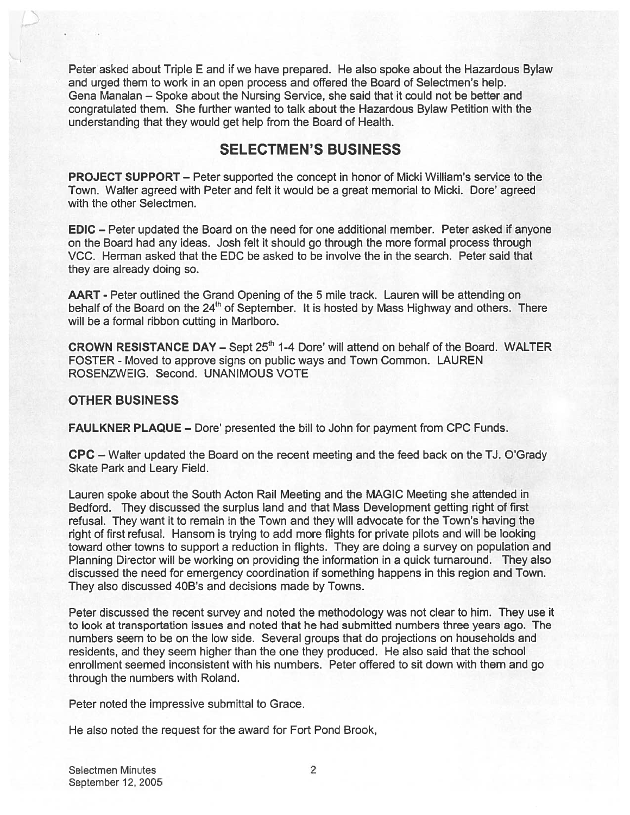Peter asked about Triple E and if we have prepared. He also spoke about the Hazardous Bylaw and urged them to work in an open process and offered the Board of Selectmen's help. Gena Manalan — Spoke about the Nursing Service, she said that it could not be better and congratulated them. She further wanted to talk about the Hazardous Bylaw Petition with the understanding that they would ge<sup>t</sup> help from the Board of Health.

# SELECTMEN'S BUSINESS

PROJECT SUPPORT — Peter supported the concep<sup>t</sup> in honor of Micki William's service to the Town. Walter agreed with Peter and felt it would be <sup>a</sup> grea<sup>t</sup> memorial to Micki. Dore' agreed with the other Selectmen.

EDIC — Peter updated the Board on the need for one additional member. Peter asked if anyone on the Board had any ideas. Josh felt it should go through the more formal process through VCC. Herman asked that the EDC be asked to be involve the in the search. Peter said that they are already doing so.

AART - Peter outlined the Grand Opening of the 5 mile track. Lauren will be attending on behalf of the Board on the 24<sup>th</sup> of September. It is hosted by Mass Highway and others. There will be <sup>a</sup> formal ribbon cutting in Marlboro.

**CROWN RESISTANCE DAY – Sept 25<sup>th</sup> 1-4 Dore' will attend on behalf of the Board. WALTER** FOSTER - Moved to approve signs on public ways and Town Common. LAUREN ROSENZWEIG. Second. UNANIMOUS VOTE

### OTHER BUSINESS

FAULKNER PLAQUE — Dore' presented the bill to John for paymen<sup>t</sup> from CPC Funds.

CPC — Walter updated the Board on the recent meeting and the feed back on the TJ. O'Grady Skate Park and Leary Field.

Lauren spoke about the South Acton Rail Meeting and the MAGIC Meeting she attended in Bedford. They discussed the surplus land and that Mass Development getting right of first refusal. They want it to remain in the Town and they will advocate for the Town's having the right of first refusal. Hansom is trying to add more flights for private pilots and will be looking toward other towns to suppor<sup>t</sup> <sup>a</sup> reduction in flights. They are doing <sup>a</sup> survey on population and Planning Director will be working on providing the information in <sup>a</sup> quick turnaround. They also discussed the need for emergency coordination if something happens in this region and Town. They also discussed 40B's and decisions made by Towns.

Peter discussed the recent survey and noted the methodology was not clear to him. They use it to look at transportation issues and noted that he had submitted numbers three years ago. The numbers seem to be on the low side. Several groups that do projections on households and residents, and they seem higher than the one they produced. He also said that the school enrollment seemed inconsistent with his numbers. Peter offered to sit down with them and go through the numbers with Roland.

Peter noted the impressive submittal to Grace.

He also noted the reques<sup>t</sup> for the award for Fort Pond Brook,

Selectmen Minutes 2 September 12, 2005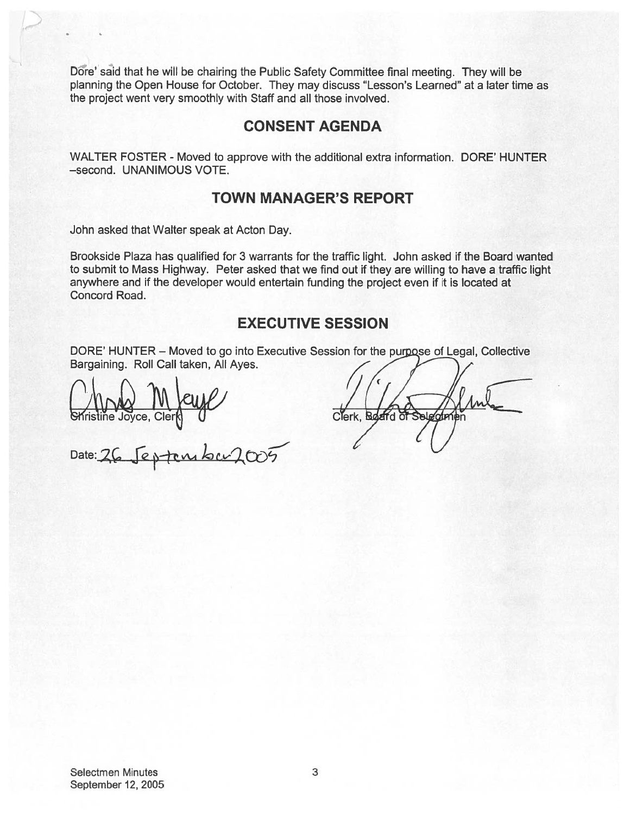Dore' said that he will be chairing the Public Safety Committee final meeting. They will be planning the Open House for October. They may discuss "Lesson's Learned" at <sup>a</sup> later time as the project went very smoothly with Staff and all those involved.

### CONSENT AGENDA

WALTER FOSTER - Moved to approve with the additional extra information. DORE' HUNTER —second. UNANIMOUS VOTE.

# TOWN MANAGER'S REPORT

John asked that Walter speak at Acton Day.

Brookside Plaza has qualified for 3 warrants for the traffic light. John asked if the Board wanted to submit to Mass Highway. Peter asked that we find out if they are willing to have <sup>a</sup> traffic light anywhere and if the developer would entertain funding the project even if it is located at Concord Road.

# EXECUTIVE SESSION

DORE' HUNTER - Moved to go into Executive Session for the purpose of Legal, Collective Bargaining. Roll Call taken, All Ayes.

Britaine Joyce, Clerk 0

Clerk, Board of Selenti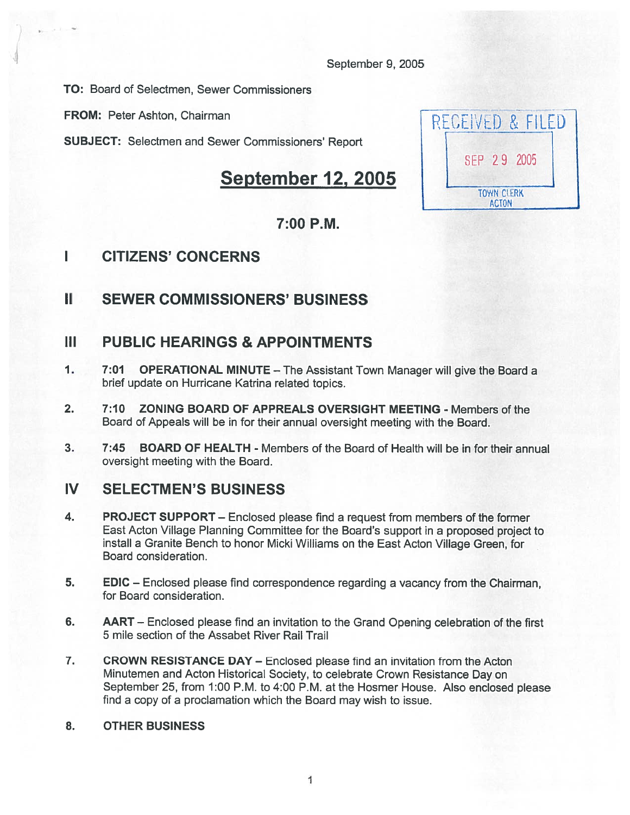September 9, 2005

TO: Board of Selectmen, Sewer Commissioners

FROM: Peter Ashton, Chairman

SUBJECT: Selectmen and Sewer Commissioners' Report

# September 12, 2005

# RECEIVED & FILED SEP 29 2005 **TOWN CLERK ACTON**

# 7:00 P.M.

# I CITIZENS' CONCERNS

# II SEWER COMMISSIONERS' BUSINESS

# III PUBLIC HEARINGS & APPOINTMENTS

- 1. 7:01 OPERATIONAL MINUTE The Assistant Town Manager will give the Board <sup>a</sup> brief update on Hurricane Katrina related topics.
- 2. 7:10 ZONING BOARD OF APPREALS OVERSIGHT MEETING Members of the Board of Appeals will be in for their annual oversight meeting with the Board.
- 3. 7:45 BOARD OF HEALTH Members of the Board of Health will be in for their annual oversight meeting with the Board.

# IV SELECTMEN'S BUSINESS

- 4. PROJECT SUPPORT Enclosed please find <sup>a</sup> reques<sup>t</sup> from members of the former East Acton Village Planning Committee for the Board's suppor<sup>t</sup> in <sup>a</sup> proposed project to install <sup>a</sup> Granite Bench to honor Micki Williams on the East Acton Village Green, for Board consideration.
- 5. EDIC Enclosed please find correspondence regarding <sup>a</sup> vacancy from the Chairman, for Board consideration.
- 6. AART Enclosed please find an invitation to the Grand Opening celebration of the first 5 mile section of the Assabet River Rail Trail
- 7. CROWN RESISTANCE DAY Enclosed please find an invitation from the Acton Minutemen and Acton Historical Society, to celebrate Crown Resistance Day on September 25, from 1:00 P.M. to 4:00 P.M. at the Hosmer House. Also enclosed <sup>p</sup>lease find <sup>a</sup> copy of <sup>a</sup> proclamation which the Board may wish to issue.

### 8. OTHER BUSINESS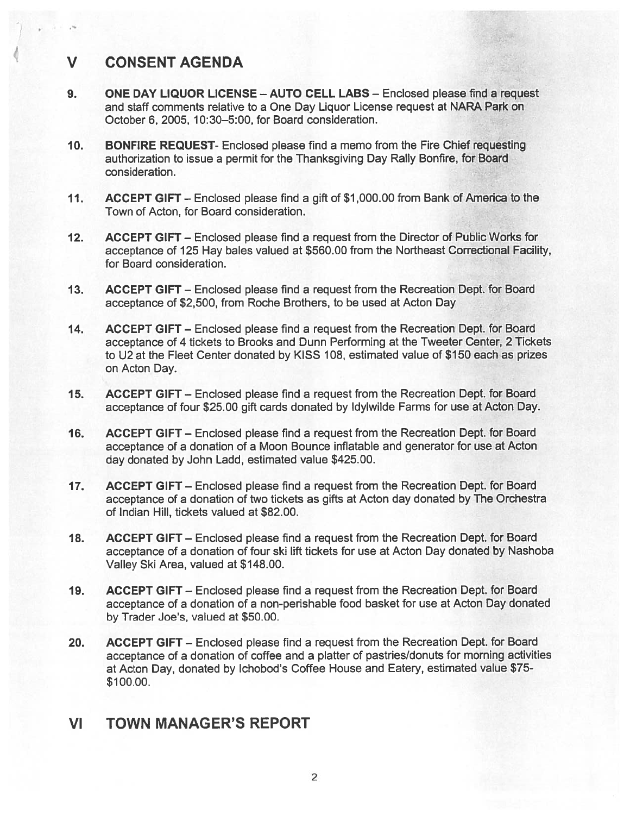# V CONSENT AGENDA

- 9. ONE DAY LIQUOR LICENSE AUTO CELL LABS Enclosed please find <sup>a</sup> reques<sup>t</sup> and staff comments relative to <sup>a</sup> One Day Liquor License reques<sup>t</sup> at NARA Park on October 6, 2005, 10:30—5:00, for Board consideration.
- 10. BONFIRE REQUEST- Enclosed please find <sup>a</sup> memo from the Fire Chief requesting authorization to issue <sup>a</sup> permit for the Thanksgiving Day Rally Bonfire, for Board consideration.
- 11. ACCEPT GIFT Enclosed please find <sup>a</sup> gift of \$1,000.00 from Bank of America to the Town of Acton, for Board consideration.
- 12. ACCEPT GIFT Enclosed please find a request from the Director of Public Works for acceptance of 125 Hay bales valued at \$560.00 from the Northeast Correctional Facility, for Board consideration.
- 13. ACCEPT GIFT Enclosed please find <sup>a</sup> reques<sup>t</sup> from the Recreation Dept. for Board acceptance of \$2,500, from Roche Brothers, to be used at Acton Day
- 14. ACCEPT GIFT Enclosed please find <sup>a</sup> reques<sup>t</sup> from the Recreation Dept. for Board acceptance of <sup>4</sup> tickets to Brooks and Dunn Performing at the Tweeter Center, <sup>2</sup> Tickets to U2 at the Fleet Center donated by KISS 108, estimated value of \$150 each as prizes on Acton Day.
- 15. ACCEPT GIFT Enclosed please find <sup>a</sup> reques<sup>t</sup> from the Recreation Dept. for Board acceptance of four \$25.00 gift cards donated by Idylwilde Farms for use at Acton Day.
- 16. ACCEPT GIFT Enclosed please find <sup>a</sup> reques<sup>t</sup> from the Recreation Dept. for Board acceptance of <sup>a</sup> donation of <sup>a</sup> Moon Bounce inflatable and generator for use at Acton day donated by John Ladd, estimated value \$425.00.
- 17. ACCEPT GIFT Enclosed please find <sup>a</sup> reques<sup>t</sup> from the Recreation Dept. for Board acceptance of <sup>a</sup> donation of two tickets as gifts at Acton day donated by The Orchestra of Indian Hill, tickets valued at \$82.00.
- 18. ACCEPT GIFT Enclosed please find <sup>a</sup> reques<sup>t</sup> from the Recreation Dept. for Board acceptance of <sup>a</sup> donation of four ski lift tickets for use at Acton Day donated by Nashoba Valley Ski Area, valued at \$148.00.
- 19. ACCEPT GIFT Enclosed please find <sup>a</sup> reques<sup>t</sup> from the Recreation Dept. for Board acceptance of <sup>a</sup> donation of <sup>a</sup> non-perishable food basket for use at Acton Day donated by Trader Joe's, valued at \$50.00.
- 20. ACCEPT GIFT Enclosed please find <sup>a</sup> reques<sup>t</sup> from the Recreation Dept. for Board acceptance of <sup>a</sup> donation of coffee and <sup>a</sup> <sup>p</sup>latter of pastries/donuts for morning activities at Acton Day, donated by Ichobod's Coffee House and Eatery, estimated value \$75- \$100.00.

# VI TOWN MANAGER'S REPORT